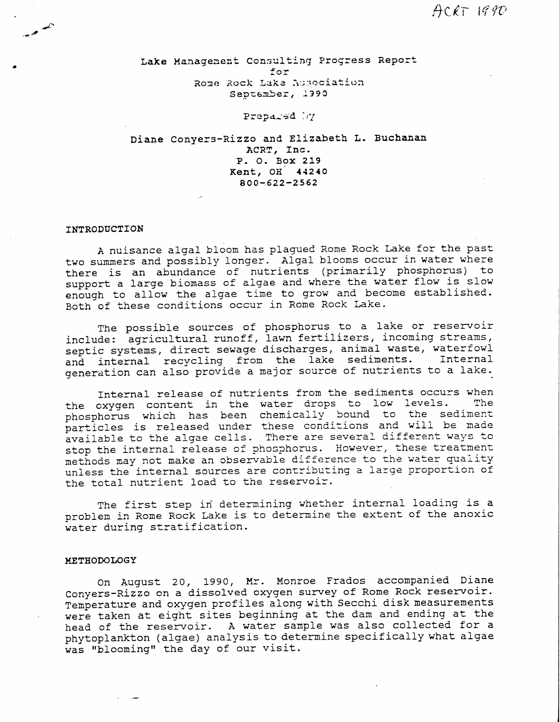Lake Management Consulting Progress Report for Rome Rock Lake Association September, 1990

## Prepared by

Diane Conyers-Rizzo and Elizabeth L. Buchanan ACRT, Inc. P. O. Box 219 Kent, OH 44240  $800 - 622 - 2562$ 

### INTRODUCTION

A nuisance algal bloom has plagued Rome Rock Lake for the past two summers and possibly longer. Algal blooms occur in water where there is an abundance of nutrients (primarily phosphorus) to support a large biomass of algae and where the water flow is slow enough to allow the algae time to grow and become established. Both of these conditions occur in Rome Rock Lake.

The possible sources of phosphorus to a lake or reservoir include: agricultural runoff, lawn fertilizers, incoming streams, septic systems, direct sewage discharges, animal waste, waterfowl and internal recycling from the lake sediments. Internal generation can also provide a major source of nutrients to a lake.

Internal release of nutrients from the sediments occurs when the oxygen content in the water drops to low levels. The phosphorus which has been chemically bound to the sediment particles is released under these conditions and will be made available to the algae cells. There are several different ways to stop the internal release of phosphorus. However, these treatment methods may not make an observable difference to the water quality unless the internal sources are contributing a large proportion of the total nutrient load to the reservoir.

The first step in determining whether internal loading is a problem in Rome Rock Lake is to determine the extent of the anoxic water during stratification.

### METHODOLOGY

On August 20, 1990, Mr. Monroe Frados accompanied Diane Conyers-Rizzo on a dissolved oxygen survey of Rome Rock reservoir. Temperature and oxygen profiles along with Secchi disk measurements were taken at eight sites beginning at the dam and ending at the head of the reservoir. A water sample was also collected for a phytoplankton (algae) analysis to determine specifically what algae was "blooming" the day of our visit.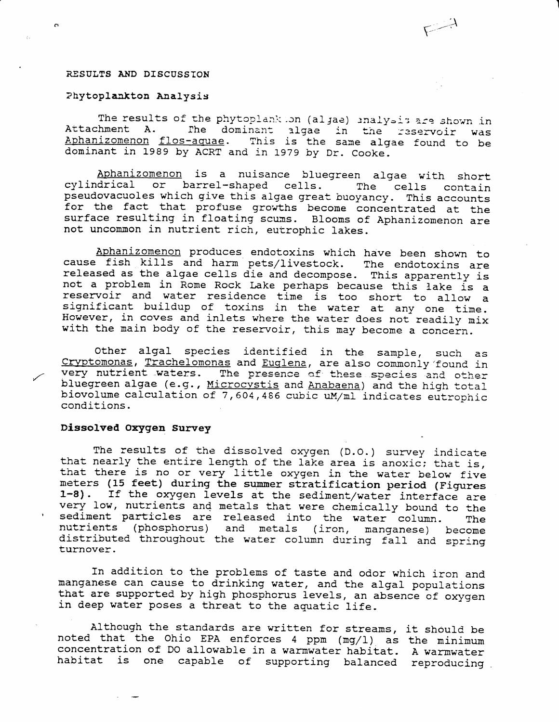### RESULTS AND DISCUSSION

 $\mathbf{C}^{\mathbf{c}}$ 

## Phytoplankton Analysis

The results of the phytoplank ion (algae) inalysis are shown in Attachment A. The dominant algae in the reservoir was Aphanizomenon flos-aquae. This is the same algae found to be dominant in 1989 by ACRT and in 1979 by Dr. Cooke.

Aphanizomenon is a nuisance bluegreen algae with short cylindrical or barrel-shaped cells. The cells contain pseudovacuoles which give this algae great buoyancy. This accounts for the fact that profuse growths become concentrated at the surface resulting in floating scums. Blooms of Aphanizomenon are not uncommon in nutrient rich, eutrophic lakes.

Aphanizomenon produces endotoxins which have been shown to cause fish kills and harm pets/livestock. The endotoxins are released as the algae cells die and decompose. This apparently is not a problem in Rome Rock Lake perhaps because this lake is a reservoir and water residence time is too short to allow a significant buildup of toxins in the water at any one time. However, in coves and inlets where the water does not readily mix with the main body of the reservoir, this may become a concern.

Other algal species identified in the sample, such as Cryptomonas, Trachelomonas and Euglena, are also commonly found in very nutrient waters. The presence of these species and other bluegreen algae (e.g., Microcystis and Anabaena) and the high total biovolume calculation of 7,604,486 cubic uM/ml indicates eutrophic conditions.

### Dissolved Oxygen Survey

The results of the dissolved oxygen (D.O.) survey indicate that nearly the entire length of the lake area is anoxic; that is, that there is no or very little oxygen in the water below five meters (15 feet) during the summer stratification period (Figures 1-8). If the oxygen levels at the sediment/water interface are very low, nutrients and metals that were chemically bound to the sediment particles are released into the water column. The nutrients (phosphorus) and metals (iron, manganese) become distributed throughout the water column during fall and spring turnover.

In addition to the problems of taste and odor which iron and manganese can cause to drinking water, and the algal populations that are supported by high phosphorus levels, an absence of oxygen in deep water poses a threat to the aquatic life.

Although the standards are written for streams, it should be noted that the Ohio EPA enforces 4 ppm (mg/1) as the minimum concentration of DO allowable in a warmwater habitat. A warmwater habitat is one capable of supporting balanced reproducing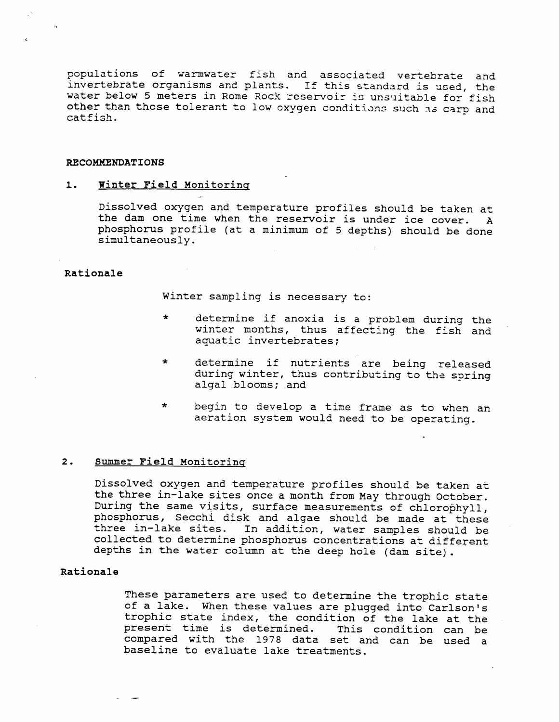populations of warmwater fish and associated vertebrate and invertebrate organisms and plants. If this standard is used, the water below 5 meters in Rome Rock reservoir is unsuitable for fish other than those tolerant to low oxygen conditions such as carp and catfish.

### RECOMMENDATIONS

#### $1.$ Winter Field Monitoring

Dissolved oxygen and temperature profiles should be taken at the dam one time when the reservoir is under ice cover. A phosphorus profile (at a minimum of 5 depths) should be done simultaneously.

## Rationale

Winter sampling is necessary to:

- determine if anoxia is a problem during the  $\star$ winter months, thus affecting the fish and aquatic invertebrates;
- $\star$ determine if nutrients are being released during winter, thus contributing to the spring algal blooms; and
- $\star$ begin to develop a time frame as to when an aeration system would need to be operating.

#### $2.$ Summer Field Monitoring

Dissolved oxygen and temperature profiles should be taken at the three in-lake sites once a month from May through October. During the same visits, surface measurements of chlorophyll, phosphorus, Secchi disk and algae should be made at these three in-lake sites. In addition, water samples should be collected to determine phosphorus concentrations at different depths in the water column at the deep hole (dam site).

### Rationale

These parameters are used to determine the trophic state of a lake. When these values are plugged into Carlson's trophic state index, the condition of the lake at the present time is determined. This condition can be compared with the 1978 data set and can be used a baseline to evaluate lake treatments.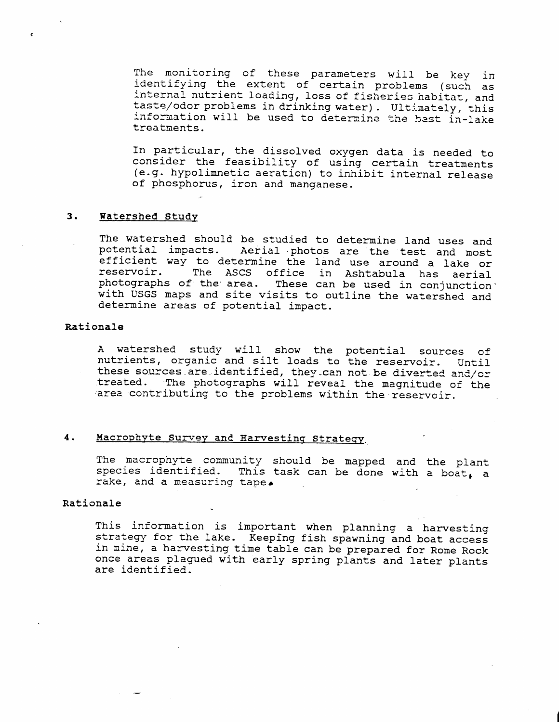The monitoring of these parameters will be key in identifying the extent of certain problems (such as internal nutrient loading, loss of fisheries habitat, and taste/odor problems in drinking water). Ultimately, this information will be used to determine the best in-lake treatments.

In particular, the dissolved oxygen data is needed to consider the feasibility of using certain treatments (e.g. hypolimnetic aeration) to inhibit internal release of phosphorus, iron and manganese.

#### $3.$ Watershed Study

The watershed should be studied to determine land uses and potential impacts. Aerial photos are the test and most efficient way to determine the land use around a lake or The ASCS office in Ashtabula has aerial reservoir. photographs of the area. These can be used in conjunction with USGS maps and site visits to outline the watershed and determine areas of potential impact.

## Rationale

A watershed study will show the potential sources of nutrients, organic and silt loads to the reservoir. Until these sources are identified, they can not be diverted and/or treated. The photographs will reveal the magnitude of the area contributing to the problems within the reservoir.

### Macrophyte Survey and Harvesting Strategy.  $4.$

The macrophyte community should be mapped and the plant species identified. This task can be done with a boat, a rake, and a measuring tape.

## Rationale

This information is important when planning a harvesting strategy for the lake. Keeping fish spawning and boat access in mine, a harvesting time table can be prepared for Rome Rock once areas plagued with early spring plants and later plants are identified.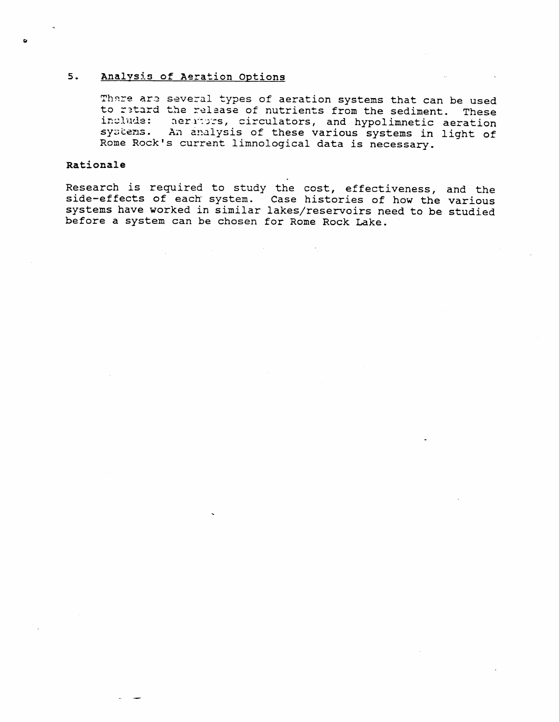#### $5.$ Analysis of Aeration Options

There are several types of aeration systems that can be used to retard the release of nutrients from the sediment. These include: aerators, circulators, and hypolimnetic aeration systems. An analysis of these various systems in light of Rome Rock's current limnological data is necessary.

## Rationale

Research is required to study the cost, effectiveness, and the side-effects of each system. Case histories of how the various systems have worked in similar lakes/reservoirs need to be studied before a system can be chosen for Rome Rock Lake.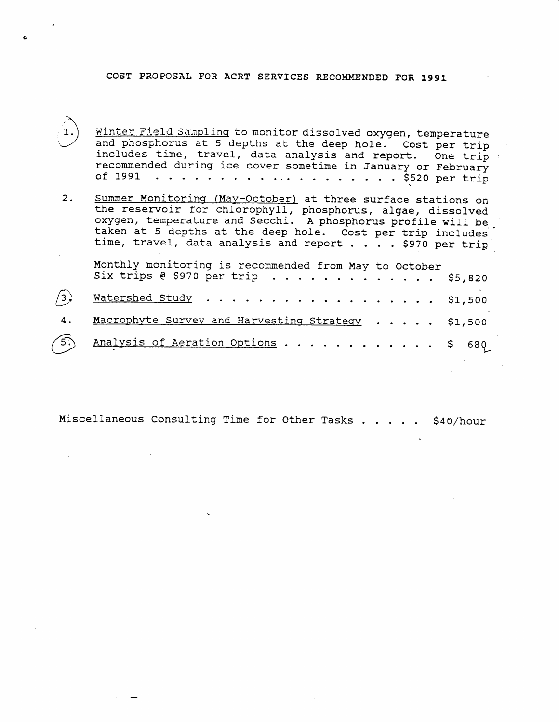# COST PROPOSAL FOR ACRT SERVICES RECOMMENDED FOR 1991

- Winter Field Sampling to monitor dissolved oxygen, temperature and phosphorus at 5 depths at the deep ho1e. cost per trip includes time, travel, data analysis and report. One trip recommended during ice cover sometime in January or February of 1991 o . . . . . . . . .r. o . o . . . . . \$520 per trip
- $2.$ Summer Monitoring (May-October) at three surface stations on the reservoir for chlorophyll, phosphorus, algae, dissolve oxygen, temperature and Secchi. A phosphorus profile will be taken at 5 depths at the deep hole. Cost per trip includes time, travel, data analysis and report . . . . \$970 per tr: Monthly monitoring is recommended from May to Octobe Six trips  $\ell$  \$970 per trip  $\ldots \ldots \ldots$  . . . . .  $/3$  . 4 . Watershed Study Macrophyte Survey and Harvesting Strategy . . . . . \$5,820 \$1,500 \$1,500
- $(5)$  Analysis of Aeration Options . . . . . . . . . . . \$ 680  $\subset$

l-

Miscellaneous Consulting Time for Other Tasks  $\ldots$ , \$40/hour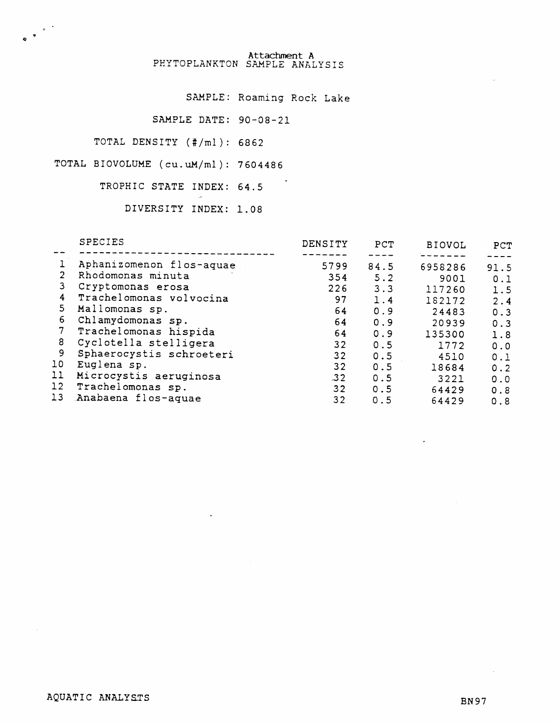Attachment A<br>PHYTOPLANKTON SAMPLE ANALYSIS

SAMPLE: Roaming Rock Lake

SAMPLE DATE: 90-08-21

TOTAL DENSITY (#/ml): 6862

TOTAL BIOVOLUME (cu.uM/ml): 7604486

TROPHIC STATE INDEX: 64.5

DIVERSITY INDEX: 1.08

 $\overline{c}$ 

| Aphanizomenon flos-aquae<br>5799<br>84.5<br>6958286                       | 91.5 |
|---------------------------------------------------------------------------|------|
| $\overline{2}$<br>Rhodomonas minuta<br>354<br>5.2<br>9001                 | 0.1  |
| 3<br>Cryptomonas erosa<br>226<br>3.3<br>117260                            | 1.5  |
| Trachelomonas volvocina<br>4<br>97<br>1.4<br>182172                       | 2.4  |
| 5<br>Mallomonas sp.<br>64<br>0.9<br>24483                                 | 0.3  |
| 6<br>Chlamydomonas sp.<br>64<br>0.9<br>20939                              | 0.3  |
| 7<br>Trachelomonas hispida<br>64<br>0.9<br>135300                         | 1.8  |
| 8<br>Cyclotella stelligera<br>32<br>0.5<br>1772                           | 0.0  |
| 9<br>Sphaerocystis schroeteri<br>32<br>0.5<br>4510                        | 0.1  |
| 10<br>Euglena sp.<br>32<br>0.5<br>18684                                   | 0.2  |
| $\mathbf{11}$<br>Microcystis aeruginosa<br>$-32$<br>0.5<br>3221           | 0.0  |
| $12 \overline{ }$<br>Trachelomonas sp.<br>32 <sub>2</sub><br>0.5<br>64429 | 0.8  |
| 13<br>Anabaena flos-aquae<br>32<br>64429<br>0.5                           | 0.8  |

**BN97** 

 $\sim$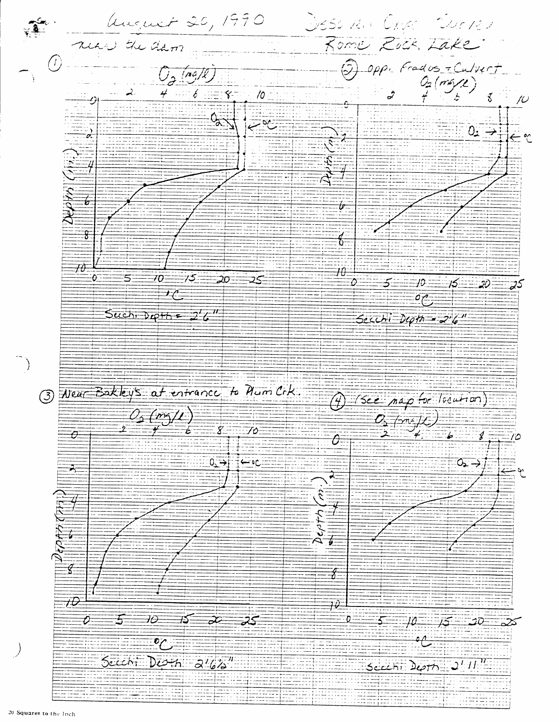Ungent 20, 1990 DIESO RIA CRUS CRUCHEU near the tham Rome Rock, Lake  $\circledcirc$  $\begin{array}{c}\n\text{op.} \text{Frados } - \text{Culvert}\n\\ \nQ_2(ms/2) \\
\hline\n\end{array}$  $\widehat{\mathbb{S}}$  $O_{\mathcal{F}}$  (ng/k)  $4 - 6 = 8$  $\vec{\mathcal{E}}$  $10 \overline{\mathcal{D}}$  $\frac{1}{2}$ ⊡ञ्≟  $0.77$  $\leftarrow$  or  $\overline{\mathscr{U}}$  $\overline{\mathbf{g}}$  $\frac{1}{\sigma}$  $\frac{1}{\frac{1}{2} \frac{1}{2}}$  $\overline{\mathcal{H}}$  $\equiv$   $\frac{1}{2}$  $\overline{\mathbf{0}}$ 70- $\Rightarrow$ 5. ಸ೭  $5 - 10$  $15 - 20$  $\overline{f}$  $\sigma$ Suchi Depth =  $2^{\prime}$ 6<sup>11</sup>  $Secchi D\varphi\psi = 2^{\prime}6^{\prime\prime}$ 3 Neur Bakley's at entrance to Num Cik. (f) (See map for location)  $0$  ( $m/L$ )  $\frac{C_{2}}{2}$  (m/y)  $\overline{\mathbf{g}}$  $\overline{\mathcal{L}}$ Ò  $\mathcal{J}$  =  $\overline{\theta}$ جو ب  $0.77$  $0 \rightarrow i$  $\overline{\mathbf{A}}$  $\frac{3}{4}$  $\sqrt[4]{\frac{1}{2}}$  $\overline{t}$  $\overline{\mathcal{W}}$  $5 - 10 - 15 - 20$  $\overline{\mathcal{O}}$  $\exists o$  $\frac{1}{2}$ ⊣ર્⊃  $\frac{1}{2}$ -25  $\overline{\cdot}$ Seech:  $D\overline{Oth}$   $\overline{O^{\prime}b}$ Seechi Depth  $2^T H''$